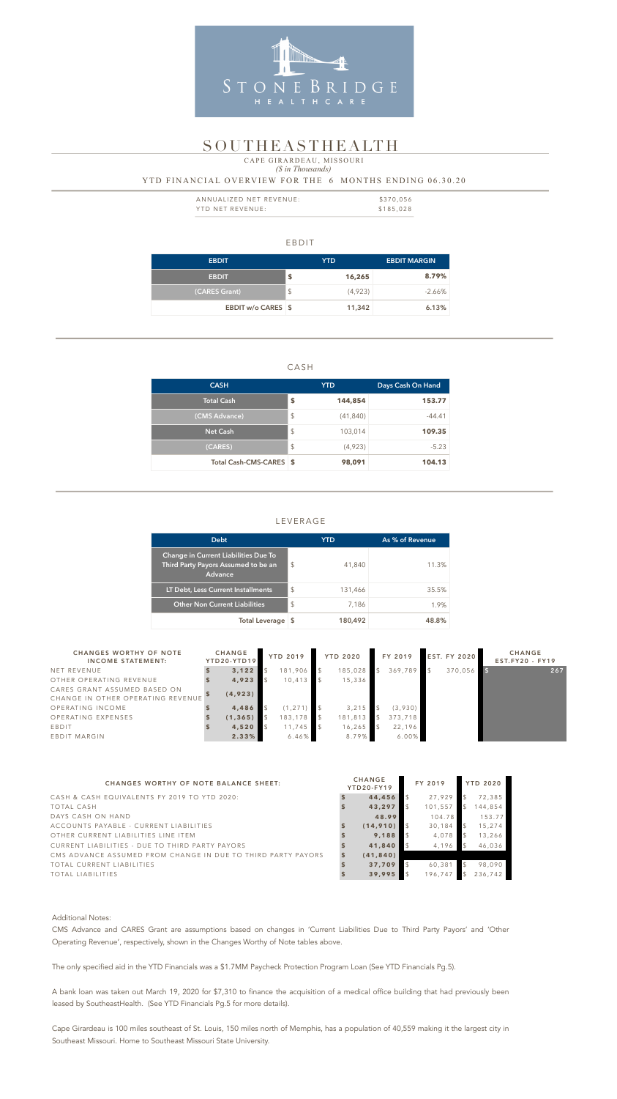#### EBDIT

| <b>EBDIT</b>       |               | YTD.    | <b>EBDIT MARGIN</b> |
|--------------------|---------------|---------|---------------------|
| <b>EBDIT</b>       | \$            | 16,265  | 8.79%               |
| (CARES Grant)      | $\frac{1}{2}$ | (4,923) | $-2.66\%$           |
| EBDIT w/o CARES \$ |               | 11,342  | 6.13%               |

### CASH

| <b>CASH</b>             |                         | <b>YTD</b> | Days Cash On Hand |  |  |
|-------------------------|-------------------------|------------|-------------------|--|--|
| Total Cash              | \$                      | 144,854    | 153.77            |  |  |
| (CMS Advance)           | $\mathcal{L}$           | (41, 840)  | $-44.41$          |  |  |
| <b>Net Cash</b>         | $\mathcal{L}$           | 103,014    | 109.35            |  |  |
| (CARES)                 | $\sqrt[6]{\frac{1}{2}}$ | (4,923)    | $-5.23$           |  |  |
| Total Cash-CMS-CARES \$ |                         | 98,091     | 104.13            |  |  |

| ANNUALIZED NET REVENUE: | \$370,056 |
|-------------------------|-----------|
| YTD NET REVENUE:        | \$185,028 |

# LEVERAGE

# *(\$ in Thousands)* YTD FINANCIAL OVERVIEW FOR THE 6 MONTHS ENDING 06.30.20 CAPE GIRARDEAU, MISSOURI

| <b>Debt</b>                                                                                   |               | YTD     | As % of Revenue |
|-----------------------------------------------------------------------------------------------|---------------|---------|-----------------|
| <b>Change in Current Liabilities Due To</b><br>Third Party Payors Assumed to be an<br>Advance | \$            | 41,840  | 11.3%           |
| LT Debt, Less Current Installments                                                            | $\mathcal{S}$ | 131,466 | 35.5%           |
| <b>Other Non Current Liabilities</b>                                                          | \$            | 7.186   | 1 9%            |



# SOUTHEASTHEALTH

| Total Leverage \$                                                 |                              |          |                 |          | 180,492        |                 | 48.8% |         |              |                     |                                         |  |  |
|-------------------------------------------------------------------|------------------------------|----------|-----------------|----------|----------------|-----------------|-------|---------|--------------|---------------------|-----------------------------------------|--|--|
| <b>CHANGES WORTHY OF NOTE</b><br><b>INCOME STATEMENT:</b>         | <b>CHANGE</b><br>YTD20-YTD19 |          | <b>YTD 2019</b> |          |                | <b>YTD 2020</b> |       | FY 2019 |              | <b>EST. FY 2020</b> | <b>CHANGE</b><br><b>EST.FY20 - FY19</b> |  |  |
| NET REVENUE                                                       |                              | 3,122    | $\mathfrak{L}$  | 181,906  | $\mathfrak{L}$ | 185,028         |       | 369,789 | $\mathsf{S}$ | 370,056             | 267                                     |  |  |
| OTHER OPERATING REVENUE                                           |                              | 4,923    |                 | 10,413   |                | 15,336          |       |         |              |                     |                                         |  |  |
| CARES GRANT ASSUMED BASED ON<br>CHANGE IN OTHER OPERATING REVENUE |                              | (4, 923) |                 |          |                |                 |       |         |              |                     |                                         |  |  |
| OPERATING INCOME                                                  |                              | 4,486    |                 | (1, 271) |                | 3, 215          |       | (3,930) |              |                     |                                         |  |  |
| OPERATING EXPENSES                                                |                              | (1, 365) |                 | 183,178  | $\mathfrak{L}$ | 181,813         |       | 373,718 |              |                     |                                         |  |  |
| EBDIT                                                             |                              | 4,520    |                 | 11,745   |                | 16,265          |       | 22,196  |              |                     |                                         |  |  |
| EBDIT MARGIN                                                      |                              | 2.33%    |                 | 6.46%    |                | 8.79%           |       | 6.00%   |              |                     |                                         |  |  |

| CHANGES WORTHY OF NOTE BALANCE SHEET:                        | <b>CHANGE</b><br>YTD20-FY19 | FY 2019 | <b>YTD 2020</b> |
|--------------------------------------------------------------|-----------------------------|---------|-----------------|
| CASH & CASH EQUIVALENTS FY 2019 TO YTD 2020:                 | 44,456                      | 27,929  | 72,385          |
| TOTAL CASH                                                   | 43,297                      | 101,557 | 144,854         |
| DAYS CASH ON HAND                                            | 48.99                       | 104.78  | 153.77          |
| ACCOUNTS PAYABLE - CURRENT LIABILITIES                       | (14, 910)                   | 30,184  | 15,274          |
| OTHER CURRENT LIABILITIES LINE ITEM                          | 9.188                       | 4,078   | 13,266          |
| CURRENT LIABILITIES - DUE TO THIRD PARTY PAYORS              | 41,840                      | 4,196   | 46,036          |
| CMS ADVANCE ASSUMED FROM CHANGE IN DUE TO THIRD PARTY PAYORS | (41, 840)                   |         |                 |
| TOTAL CURRENT LIABILITIES                                    | 37,709                      | 60,381  | 98,090          |
| TOTAL LIABILITIES                                            | 39,995                      | 196,747 | 236,742         |

#### Additional Notes:

CMS Advance and CARES Grant are assumptions based on changes in 'Current Liabilities Due to Third Party Payors' and 'Other Operating Revenue', respectively, shown in the Changes Worthy of Note tables above.

The only specified aid in the YTD Financials was a \$1.7MM Paycheck Protection Program Loan (See YTD Financials Pg.5).

A bank loan was taken out March 19, 2020 for \$7,310 to finance the acquisition of a medical office building that had previously been leased by SoutheastHealth. (See YTD Financials Pg.5 for more details).

Cape Girardeau is 100 miles southeast of St. Louis, 150 miles north of Memphis, has a population of 40,559 making it the largest city in Southeast Missouri. Home to Southeast Missouri State University.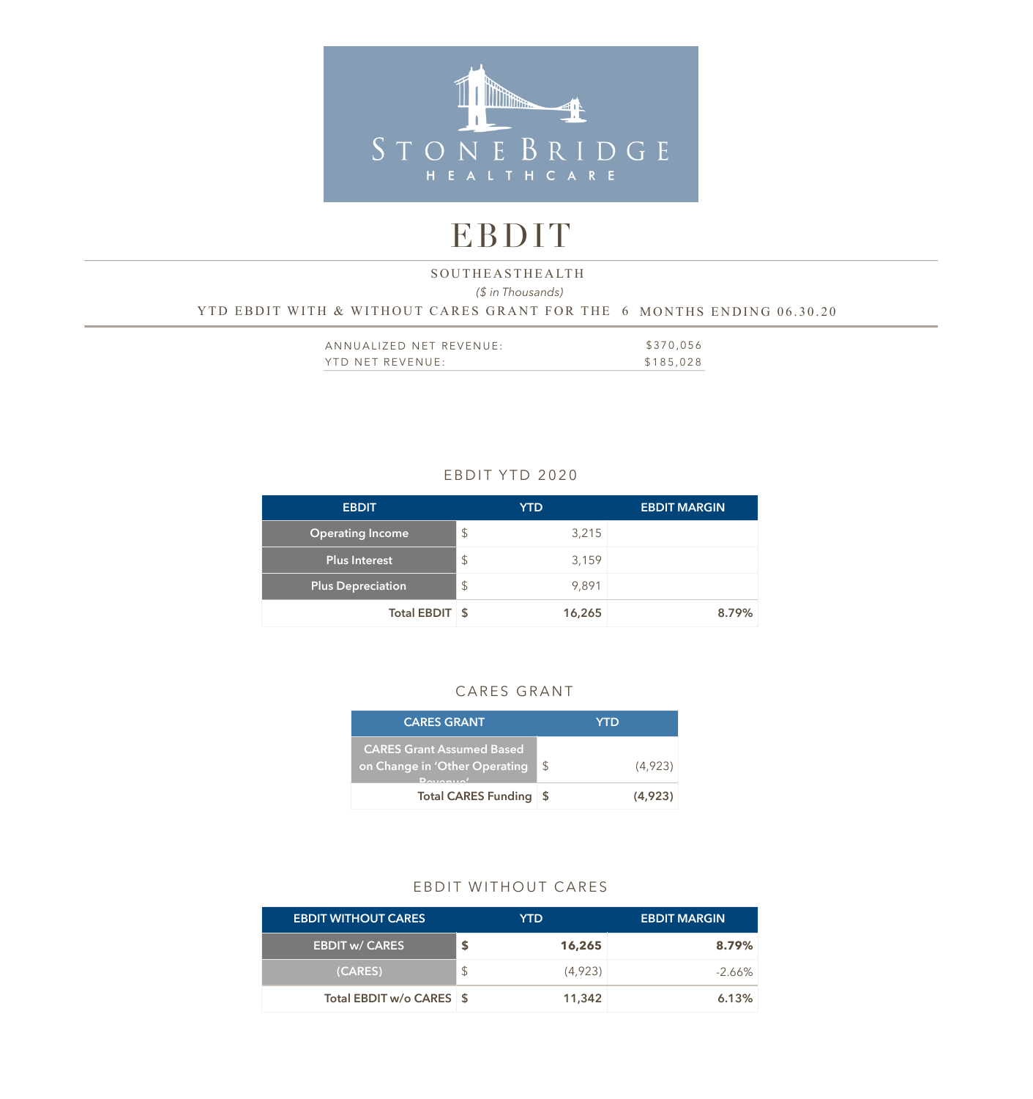

# EBDIT

# *(\$ in Thousands)*  YTD EBDIT WITH & WITHOUT CARES GRANT FOR THE 6 MONTHS ENDING 06.30.20 SOUTHEASTHEALTH

| ANNUALIZED NET REVENUE: | \$370,056 |
|-------------------------|-----------|
| YTD NET REVENUE:        | \$185,028 |

### EBDIT YTD 2020

| <b>EBDIT</b>             | <b>YTD</b>    | <b>EBDIT MARGIN</b> |
|--------------------------|---------------|---------------------|
| <b>Operating Income</b>  | $\frac{1}{2}$ | 3,215               |
| <b>Plus Interest</b>     | \$            | 3,159               |
| <b>Plus Depreciation</b> | $\frac{1}{2}$ | 9,891               |
| Total EBDIT \$           |               | 8.79%<br>16,265     |

#### CARES GRANT

| <b>CARES GRANT</b>                                                                    |               | YTD     |
|---------------------------------------------------------------------------------------|---------------|---------|
| <b>CARES Grant Assumed Based</b><br>on Change in 'Other Operating<br>$D$ <sub>a</sub> | $\mathcal{S}$ | (4,923) |
| <b>Total CARES Funding</b>                                                            | - \$          | (4.923) |

#### EBDIT WITHOUT CARES

| <b>EBDIT WITHOUT CARES</b> |     | YTD.    | <b>EBDIT MARGIN</b> |
|----------------------------|-----|---------|---------------------|
| <b>EBDIT w/ CARES</b>      |     | 16,265  | 8.79%               |
| (CARES)                    | \$. | (4,923) | -2.66%              |
| Total EBDIT w/o CARES \$   |     | 11,342  | 6.13%               |